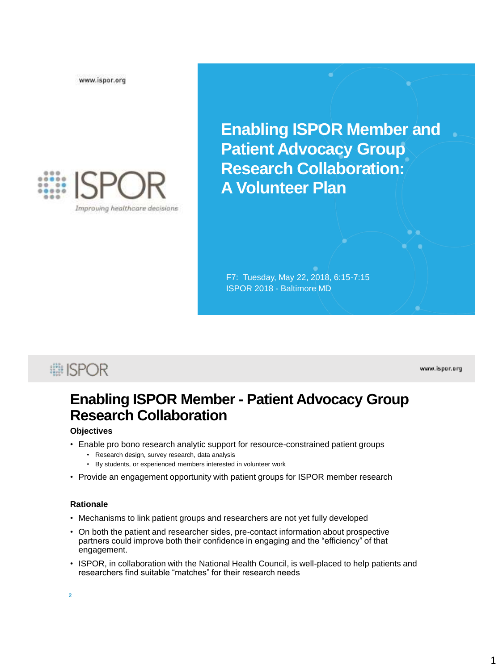www.ispor.org



**Enabling ISPOR Member and Patient Advocacy Group Research Collaboration: A Volunteer Plan**

F7: Tuesday, May 22, 2018, 6:15-7:15 ISPOR 2018 - Baltimore MD

**■ISPOR** 

www.ispor.org

### **Enabling ISPOR Member - Patient Advocacy Group Research Collaboration**

#### **Objectives**

- Enable pro bono research analytic support for resource-constrained patient groups
	- Research design, survey research, data analysis
	- By students, or experienced members interested in volunteer work
- Provide an engagement opportunity with patient groups for ISPOR member research

#### **Rationale**

- Mechanisms to link patient groups and researchers are not yet fully developed
- On both the patient and researcher sides, pre-contact information about prospective partners could improve both their confidence in engaging and the "efficiency" of that engagement.
- ISPOR, in collaboration with the National Health Council, is well-placed to help patients and researchers find suitable "matches" for their research needs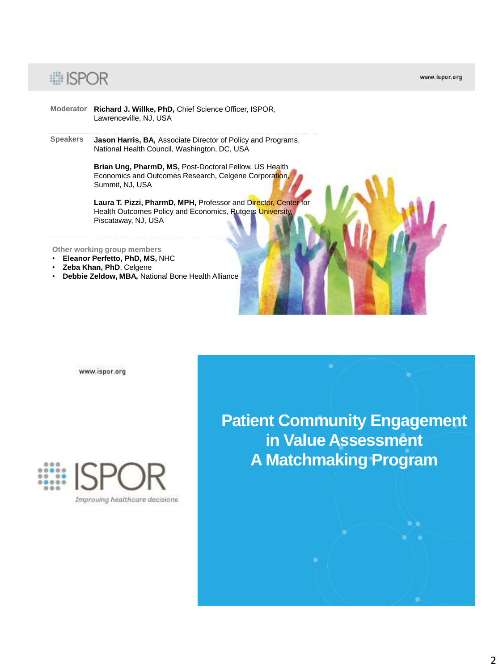## : ISPOR

www.ispor.org

- **Moderator Richard J. Willke, PhD,** Chief Science Officer, ISPOR, Lawrenceville, NJ, USA
- **Speakers Jason Harris, BA,** Associate Director of Policy and Programs, National Health Council, Washington, DC, USA

**Brian Ung, PharmD, MS,** Post-Doctoral Fellow, US Health Economics and Outcomes Research, Celgene Corporation, Summit, NJ, USA

Laura T. Pizzi, PharmD, MPH, Professor and Director, Center for Health Outcomes Policy and Economics, Rutgers University, Piscataway, NJ, USA

**Other working group members**

- **Eleanor Perfetto, PhD, MS,** NHC
- **Zeba Khan, PhD**, Celgene
- **Debbie Zeldow, MBA,** National Bone Health Alliance

www.ispor.org



**Patient Community Engagement in Value Assessment A Matchmaking Program**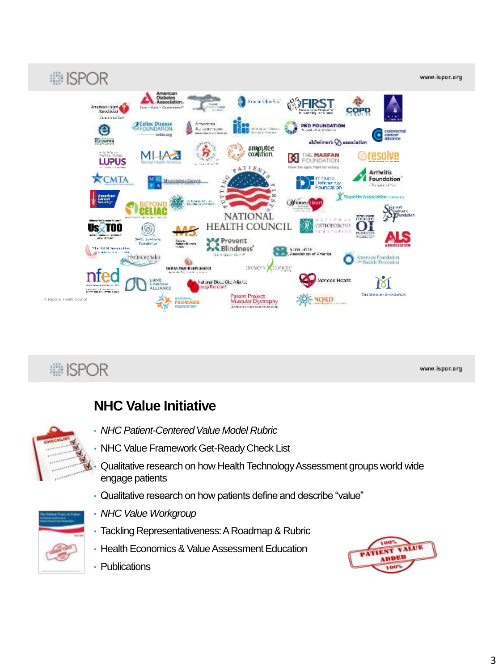

# **■ISPOR**

www.ispor.org

## **NHC Value Initiative**



- *NHC Patient-Centered Value Model Rubric*
- NHC Value Framework Get-Ready Check List
- Qualitative research on how Health Technology Assessment groups world wide engage patients
- Qualitative research on how patients define and describe "value"



- *NHC Value Workgroup*
- Tackling Representativeness: A Roadmap & Rubric
- Health Economics & Value Assessment Education
- Publications

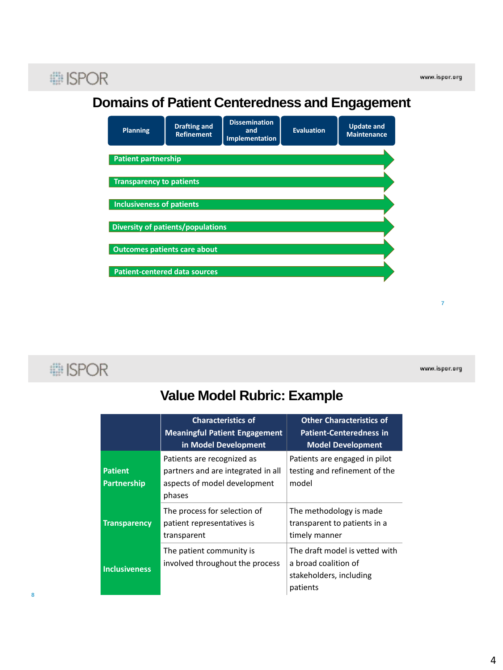

#### **Domains of Patient Centeredness and Engagement**



**i ISPOR** 

www.ispor.org

**7**

## **Value Model Rubric: Example**

|                               | <b>Characteristics of</b><br><b>Meaningful Patient Engagement</b><br>in Model Development                  | <b>Other Characteristics of</b><br><b>Patient-Centeredness in</b><br><b>Model Development</b> |
|-------------------------------|------------------------------------------------------------------------------------------------------------|-----------------------------------------------------------------------------------------------|
| <b>Patient</b><br>Partnership | Patients are recognized as<br>partners and are integrated in all<br>aspects of model development<br>phases | Patients are engaged in pilot<br>testing and refinement of the<br>model                       |
| <b>Transparency</b>           | The process for selection of<br>patient representatives is<br>transparent                                  | The methodology is made<br>transparent to patients in a<br>timely manner                      |
| <b>Inclusiveness</b>          | The patient community is<br>involved throughout the process                                                | The draft model is vetted with<br>a broad coalition of<br>stakeholders, including<br>patients |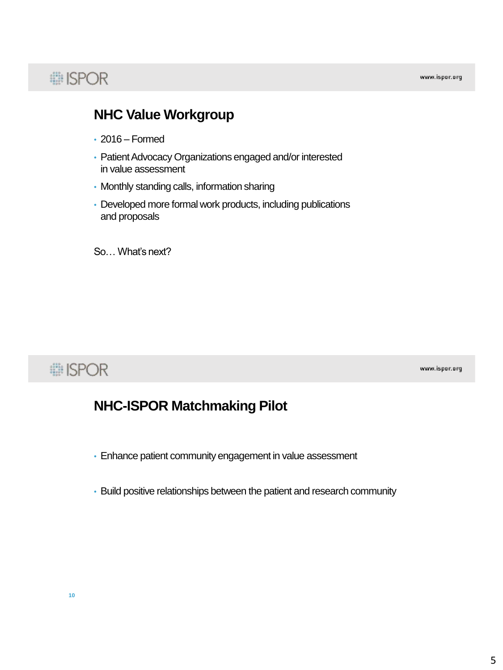# **# ISPOR**

### **NHC Value Workgroup**

- 2016 Formed
- Patient Advocacy Organizations engaged and/or interested in value assessment
- Monthly standing calls, information sharing
- Developed more formal work products, including publications and proposals

So… What's next?

## **... ISPOR**

www.ispor.org

### **NHC-ISPOR Matchmaking Pilot**

- Enhance patient community engagement in value assessment
- Build positive relationships between the patient and research community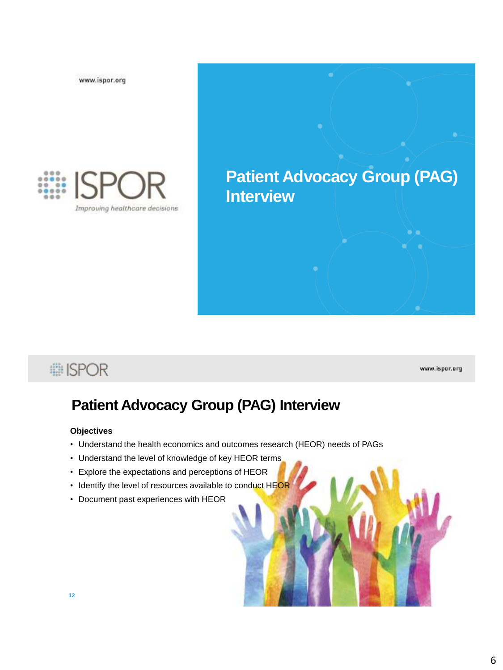www.ispor.org



# **Patient Advocacy Group (PAG) Interview**

## **i ISPOR**

www.ispor.org

## **Patient Advocacy Group (PAG) Interview**

#### **Objectives**

- Understand the health economics and outcomes research (HEOR) needs of PAGs
- Understand the level of knowledge of key HEOR terms
- Explore the expectations and perceptions of HEOR
- Identify the level of resources available to conduct HEOR
- Document past experiences with HEOR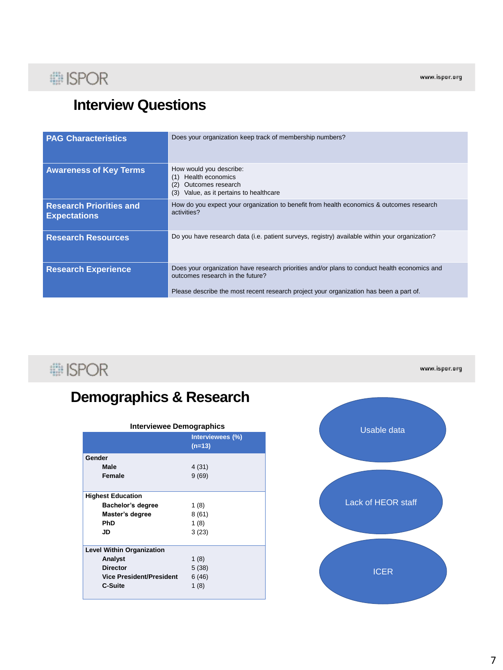

## **Interview Questions**

| <b>PAG Characteristics</b>                            | Does your organization keep track of membership numbers?                                                                                                                                                                   |
|-------------------------------------------------------|----------------------------------------------------------------------------------------------------------------------------------------------------------------------------------------------------------------------------|
| <b>Awareness of Key Terms</b>                         | How would you describe:<br>Health economics<br>(1)<br>Outcomes research<br>Value, as it pertains to healthcare<br>(3)                                                                                                      |
| <b>Research Priorities and</b><br><b>Expectations</b> | How do you expect your organization to benefit from health economics & outcomes research<br>activities?                                                                                                                    |
| <b>Research Resources</b>                             | Do you have research data (i.e. patient surveys, registry) available within your organization?                                                                                                                             |
| <b>Research Experience</b>                            | Does your organization have research priorities and/or plans to conduct health economics and<br>outcomes research in the future?<br>Please describe the most recent research project your organization has been a part of. |

# : ISPOR

# **Demographics & Research**

| <b>Interviewee Demographics</b>  |                              |  |
|----------------------------------|------------------------------|--|
|                                  | Interviewees (%)<br>$(n=13)$ |  |
| Gender                           |                              |  |
| Male                             | 4(31)                        |  |
| Female                           | 9(69)                        |  |
|                                  |                              |  |
| <b>Highest Education</b>         |                              |  |
| Bachelor's degree                | 1(8)                         |  |
| Master's degree                  | 8(61)                        |  |
| PhD                              | 1(8)                         |  |
| JD                               | 3(23)                        |  |
|                                  |                              |  |
| <b>Level Within Organization</b> |                              |  |
| Analyst                          | 1(8)                         |  |
| <b>Director</b>                  | 5(38)                        |  |
| <b>Vice President/President</b>  | 6(46)                        |  |
| C-Suite                          | 1(8)                         |  |
|                                  |                              |  |



www.ispor.org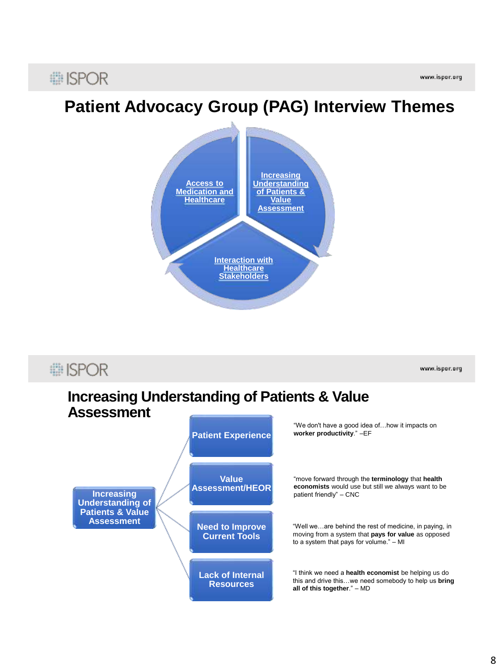## **■ISPOR**

# **Patient Advocacy Group (PAG) Interview Themes**



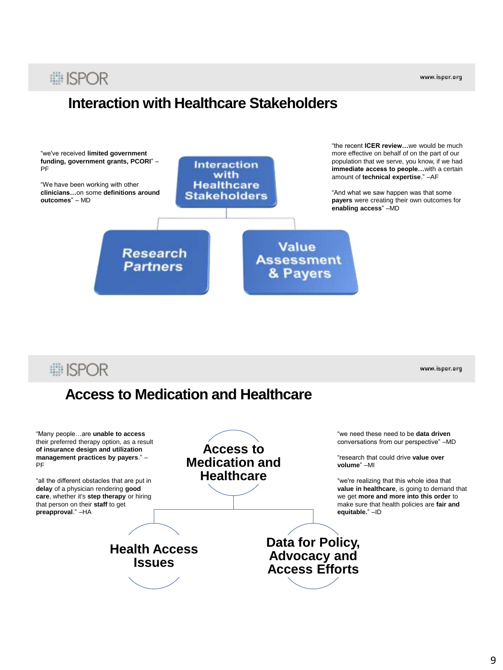#### www.ispor.org

## **■ISPOR**

## **Interaction with Healthcare Stakeholders**



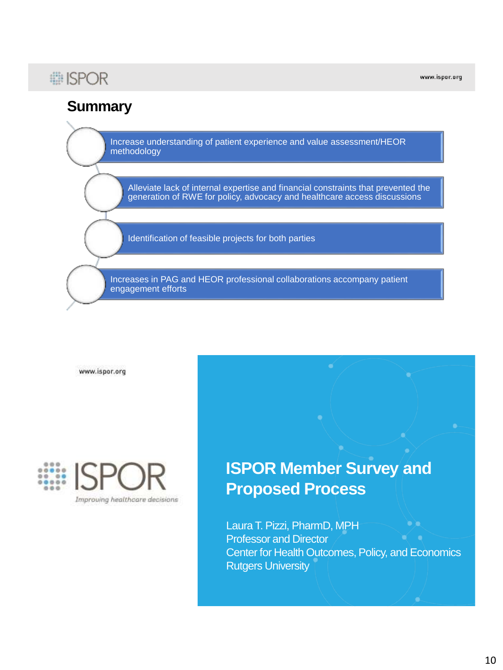## **# ISPOR**

www.ispor.org

## **Summary**

Increase understanding of patient experience and value assessment/HEOR methodology

Alleviate lack of internal expertise and financial constraints that prevented the generation of RWE for policy, advocacy and healthcare access discussions

Identification of feasible projects for both parties

Increases in PAG and HEOR professional collaborations accompany patient engagement efforts

www.ispor.org



# **ISPOR Member Survey and Proposed Process**

Laura T. Pizzi, PharmD, MPH Professor and Director Center for Health Outcomes, Policy, and Economics Rutgers University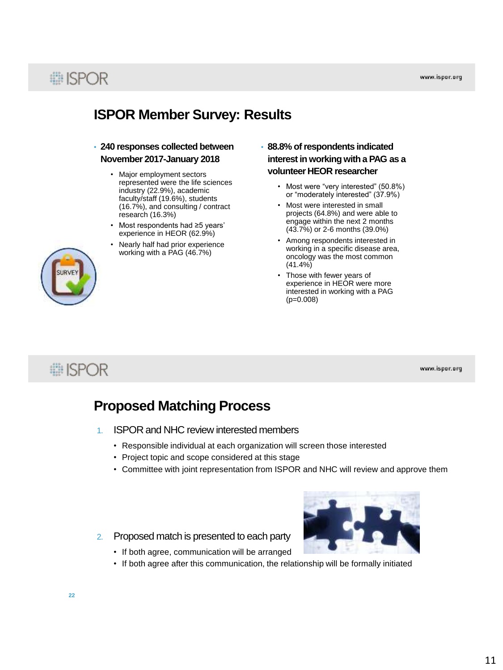

### **ISPOR Member Survey: Results**

#### • **240 responses collected between November 2017-January 2018**

- Major employment sectors represented were the life sciences industry (22.9%), academic faculty/staff (19.6%), students (16.7%), and consulting / contract research (16.3%)
- Most respondents had ≥5 years' experience in HEOR (62.9%)
- Nearly half had prior experience working with a PAG (46.7%)
- **88.8% of respondents indicated interest in working with a PAG as a volunteer HEOR researcher**
	- Most were "very interested" (50.8%) or "moderately interested" (37.9%)
	- Most were interested in small projects (64.8%) and were able to engage within the next 2 months (43.7%) or 2-6 months (39.0%)
	- Among respondents interested in working in a specific disease area, oncology was the most common (41.4%)
	- Those with fewer years of experience in HEOR were more interested in working with a PAG (p=0.008)

# **■ISPOR**

www.ispor.org

### **Proposed Matching Process**

- 1. ISPOR and NHC review interested members
	- Responsible individual at each organization will screen those interested
	- Project topic and scope considered at this stage
	- Committee with joint representation from ISPOR and NHC will review and approve them
- 2. Proposed match is presented to each party



- If both agree, communication will be arranged
	- If both agree after this communication, the relationship will be formally initiated

**22**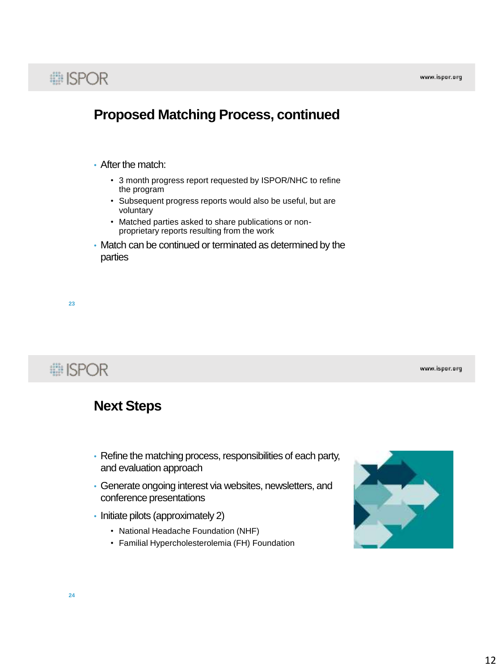

#### **Proposed Matching Process, continued**

#### • After the match:

- 3 month progress report requested by ISPOR/NHC to refine the program
- Subsequent progress reports would also be useful, but are voluntary
- Matched parties asked to share publications or nonproprietary reports resulting from the work
- Match can be continued or terminated as determined by the parties

**23**

**■ISPOR** 

www.ispor.org

#### **Next Steps**

- Refine the matching process, responsibilities of each party, and evaluation approach
- Generate ongoing interest via websites, newsletters, and conference presentations
- Initiate pilots (approximately 2)
	- National Headache Foundation (NHF)
	- Familial Hypercholesterolemia (FH) Foundation

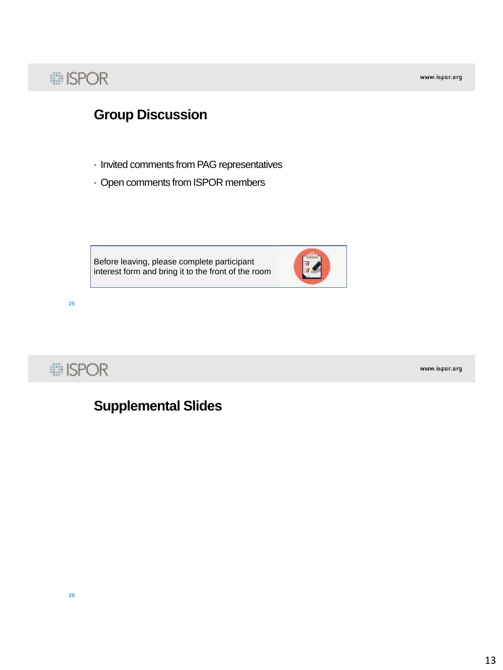## : ISPOR

www.ispor.org

## **Group Discussion**

- Invited comments from PAG representatives
- Open comments from ISPOR members

Before leaving, please complete participant interest form and bring it to the front of the room



: ISPOR

**25**

www.ispor.org

### **Supplemental Slides**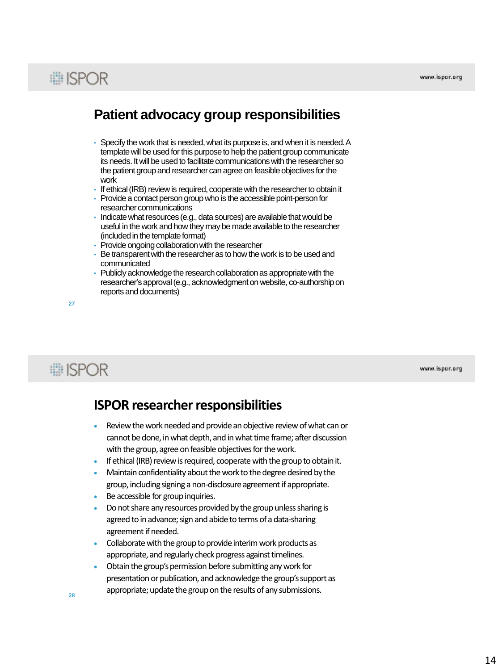# **■ISPOR**

#### **Patient advocacy group responsibilities**

- Specify the work that is needed, what its purpose is, and when it is needed. A template will be used for this purpose to help the patient group communicate its needs. It will be used to facilitate communications with the researcher so the patient group and researcher can agree on feasible objectives for the work
- If ethical (IRB) review is required, cooperate with the researcher to obtain it
- Provide a contact person group who is the accessible point-person for researcher communications
- Indicate what resources (e.g., data sources) are available that would be useful in the work and how they may be made available to the researcher (included in the template format)
- Provide ongoing collaboration with the researcher
- Be transparent with the researcher as to how the work is to be used and communicated
- Publicly acknowledge the research collaboration as appropriate with the researcher's approval (e.g., acknowledgment on website, co-authorship on reports and documents)

**27**

# **# ISPOR**

www.ispor.org

#### **ISPOR researcher responsibilities**

- Review the work needed and provide an objective review of what can or cannot be done, in what depth, and in what time frame; after discussion with the group, agree on feasible objectives for the work.
- If ethical (IRB) review is required, cooperate with the group to obtain it.
- Maintain confidentiality about the work to the degree desired by the group, including signing a non-disclosure agreement if appropriate.
- Be accessible for group inquiries.
- Do not share any resources provided by the group unless sharing is agreed to in advance; sign and abide to terms of a data-sharing agreement if needed.
- Collaborate with the group to provide interim work products as appropriate, and regularly check progress against timelines.
- Obtain the group's permission before submitting any work for presentation or publication, and acknowledge the group's support as appropriate; update the group on the results of any submissions.